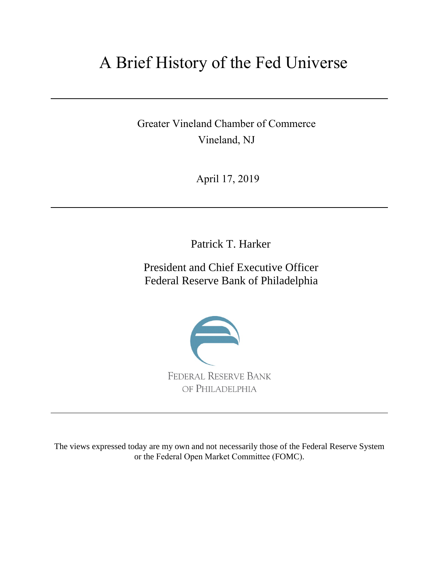# A Brief History of the Fed Universe

Greater Vineland Chamber of Commerce Vineland, NJ

April 17, 2019

Patrick T. Harker

President and Chief Executive Officer Federal Reserve Bank of Philadelphia



The views expressed today are my own and not necessarily those of the Federal Reserve System or the Federal Open Market Committee (FOMC).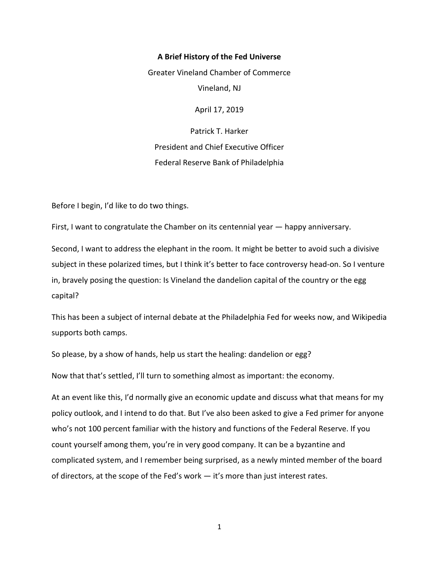## **A Brief History of the Fed Universe**

Greater Vineland Chamber of Commerce

Vineland, NJ

April 17, 2019

Patrick T. Harker President and Chief Executive Officer Federal Reserve Bank of Philadelphia

Before I begin, I'd like to do two things.

First, I want to congratulate the Chamber on its centennial year — happy anniversary.

Second, I want to address the elephant in the room. It might be better to avoid such a divisive subject in these polarized times, but I think it's better to face controversy head-on. So I venture in, bravely posing the question: Is Vineland the dandelion capital of the country or the egg capital?

This has been a subject of internal debate at the Philadelphia Fed for weeks now, and Wikipedia supports both camps.

So please, by a show of hands, help us start the healing: dandelion or egg?

Now that that's settled, I'll turn to something almost as important: the economy.

At an event like this, I'd normally give an economic update and discuss what that means for my policy outlook, and I intend to do that. But I've also been asked to give a Fed primer for anyone who's not 100 percent familiar with the history and functions of the Federal Reserve. If you count yourself among them, you're in very good company. It can be a byzantine and complicated system, and I remember being surprised, as a newly minted member of the board of directors, at the scope of the Fed's work — it's more than just interest rates.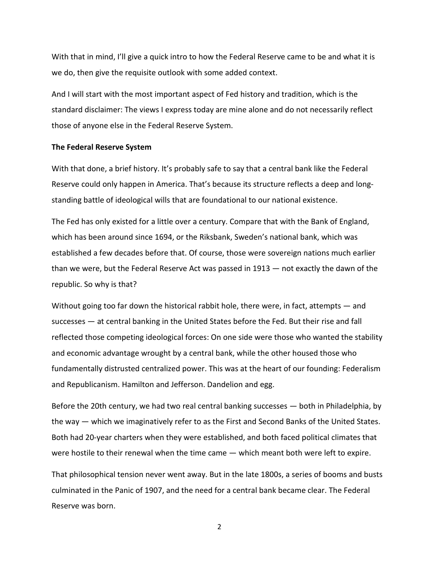With that in mind, I'll give a quick intro to how the Federal Reserve came to be and what it is we do, then give the requisite outlook with some added context.

And I will start with the most important aspect of Fed history and tradition, which is the standard disclaimer: The views I express today are mine alone and do not necessarily reflect those of anyone else in the Federal Reserve System.

#### **The Federal Reserve System**

With that done, a brief history. It's probably safe to say that a central bank like the Federal Reserve could only happen in America. That's because its structure reflects a deep and longstanding battle of ideological wills that are foundational to our national existence.

The Fed has only existed for a little over a century. Compare that with the Bank of England, which has been around since 1694, or the Riksbank, Sweden's national bank, which was established a few decades before that. Of course, those were sovereign nations much earlier than we were, but the Federal Reserve Act was passed in 1913 — not exactly the dawn of the republic. So why is that?

Without going too far down the historical rabbit hole, there were, in fact, attempts — and successes — at central banking in the United States before the Fed. But their rise and fall reflected those competing ideological forces: On one side were those who wanted the stability and economic advantage wrought by a central bank, while the other housed those who fundamentally distrusted centralized power. This was at the heart of our founding: Federalism and Republicanism. Hamilton and Jefferson. Dandelion and egg.

Before the 20th century, we had two real central banking successes — both in Philadelphia, by the way — which we imaginatively refer to as the First and Second Banks of the United States. Both had 20-year charters when they were established, and both faced political climates that were hostile to their renewal when the time came — which meant both were left to expire.

That philosophical tension never went away. But in the late 1800s, a series of booms and busts culminated in the Panic of 1907, and the need for a central bank became clear. The Federal Reserve was born.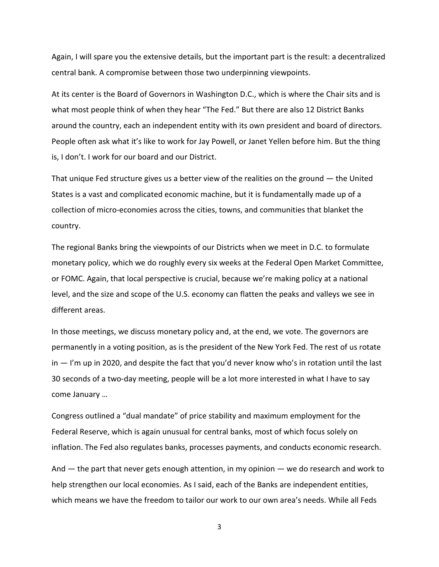Again, I will spare you the extensive details, but the important part is the result: a decentralized central bank. A compromise between those two underpinning viewpoints.

At its center is the Board of Governors in Washington D.C., which is where the Chair sits and is what most people think of when they hear "The Fed." But there are also 12 District Banks around the country, each an independent entity with its own president and board of directors. People often ask what it's like to work for Jay Powell, or Janet Yellen before him. But the thing is, I don't. I work for our board and our District.

That unique Fed structure gives us a better view of the realities on the ground  $-$  the United States is a vast and complicated economic machine, but it is fundamentally made up of a collection of micro-economies across the cities, towns, and communities that blanket the country.

The regional Banks bring the viewpoints of our Districts when we meet in D.C. to formulate monetary policy, which we do roughly every six weeks at the Federal Open Market Committee, or FOMC. Again, that local perspective is crucial, because we're making policy at a national level, and the size and scope of the U.S. economy can flatten the peaks and valleys we see in different areas.

In those meetings, we discuss monetary policy and, at the end, we vote. The governors are permanently in a voting position, as is the president of the New York Fed. The rest of us rotate in — I'm up in 2020, and despite the fact that you'd never know who's in rotation until the last 30 seconds of a two-day meeting, people will be a lot more interested in what I have to say come January …

Congress outlined a "dual mandate" of price stability and maximum employment for the Federal Reserve, which is again unusual for central banks, most of which focus solely on inflation. The Fed also regulates banks, processes payments, and conducts economic research.

And  $-$  the part that never gets enough attention, in my opinion  $-$  we do research and work to help strengthen our local economies. As I said, each of the Banks are independent entities, which means we have the freedom to tailor our work to our own area's needs. While all Feds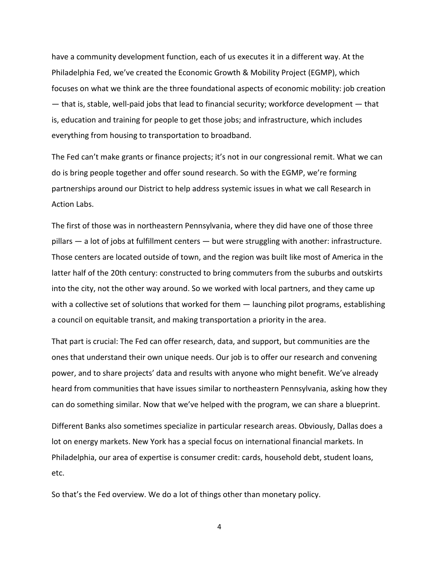have a community development function, each of us executes it in a different way. At the Philadelphia Fed, we've created the Economic Growth & Mobility Project (EGMP), which focuses on what we think are the three foundational aspects of economic mobility: job creation — that is, stable, well-paid jobs that lead to financial security; workforce development — that is, education and training for people to get those jobs; and infrastructure, which includes everything from housing to transportation to broadband.

The Fed can't make grants or finance projects; it's not in our congressional remit. What we can do is bring people together and offer sound research. So with the EGMP, we're forming partnerships around our District to help address systemic issues in what we call Research in Action Labs.

The first of those was in northeastern Pennsylvania, where they did have one of those three pillars — a lot of jobs at fulfillment centers — but were struggling with another: infrastructure. Those centers are located outside of town, and the region was built like most of America in the latter half of the 20th century: constructed to bring commuters from the suburbs and outskirts into the city, not the other way around. So we worked with local partners, and they came up with a collective set of solutions that worked for them  $-$  launching pilot programs, establishing a council on equitable transit, and making transportation a priority in the area.

That part is crucial: The Fed can offer research, data, and support, but communities are the ones that understand their own unique needs. Our job is to offer our research and convening power, and to share projects' data and results with anyone who might benefit. We've already heard from communities that have issues similar to northeastern Pennsylvania, asking how they can do something similar. Now that we've helped with the program, we can share a blueprint.

Different Banks also sometimes specialize in particular research areas. Obviously, Dallas does a lot on energy markets. New York has a special focus on international financial markets. In Philadelphia, our area of expertise is consumer credit: cards, household debt, student loans, etc.

So that's the Fed overview. We do a lot of things other than monetary policy.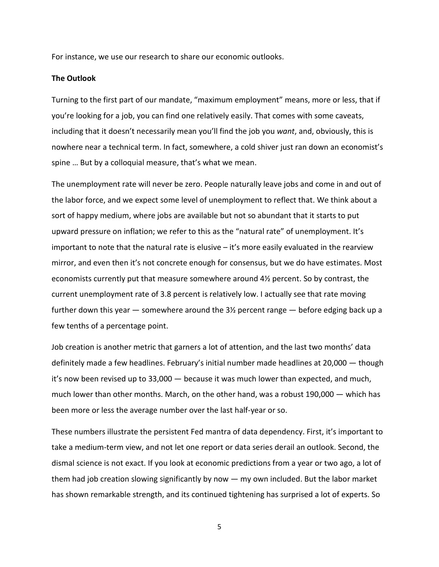For instance, we use our research to share our economic outlooks.

## **The Outlook**

Turning to the first part of our mandate, "maximum employment" means, more or less, that if you're looking for a job, you can find one relatively easily. That comes with some caveats, including that it doesn't necessarily mean you'll find the job you *want*, and, obviously, this is nowhere near a technical term. In fact, somewhere, a cold shiver just ran down an economist's spine … But by a colloquial measure, that's what we mean.

The unemployment rate will never be zero. People naturally leave jobs and come in and out of the labor force, and we expect some level of unemployment to reflect that. We think about a sort of happy medium, where jobs are available but not so abundant that it starts to put upward pressure on inflation; we refer to this as the "natural rate" of unemployment. It's important to note that the natural rate is elusive – it's more easily evaluated in the rearview mirror, and even then it's not concrete enough for consensus, but we do have estimates. Most economists currently put that measure somewhere around 4½ percent. So by contrast, the current unemployment rate of 3.8 percent is relatively low. I actually see that rate moving further down this year  $-$  somewhere around the  $3\frac{1}{2}$  percent range  $-$  before edging back up a few tenths of a percentage point.

Job creation is another metric that garners a lot of attention, and the last two months' data definitely made a few headlines. February's initial number made headlines at 20,000 — though it's now been revised up to 33,000 — because it was much lower than expected, and much, much lower than other months. March, on the other hand, was a robust 190,000 — which has been more or less the average number over the last half-year or so.

These numbers illustrate the persistent Fed mantra of data dependency. First, it's important to take a medium-term view, and not let one report or data series derail an outlook. Second, the dismal science is not exact. If you look at economic predictions from a year or two ago, a lot of them had job creation slowing significantly by now — my own included. But the labor market has shown remarkable strength, and its continued tightening has surprised a lot of experts. So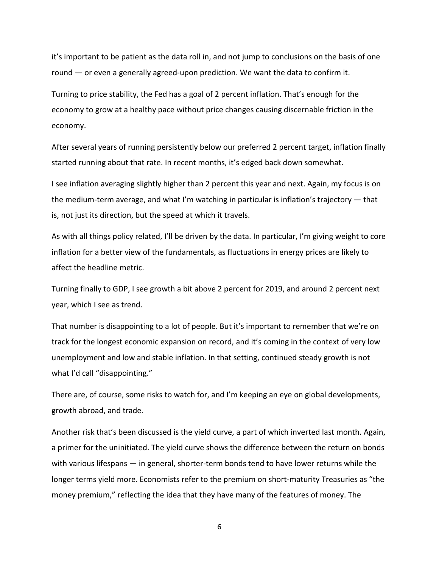it's important to be patient as the data roll in, and not jump to conclusions on the basis of one round — or even a generally agreed-upon prediction. We want the data to confirm it.

Turning to price stability, the Fed has a goal of 2 percent inflation. That's enough for the economy to grow at a healthy pace without price changes causing discernable friction in the economy.

After several years of running persistently below our preferred 2 percent target, inflation finally started running about that rate. In recent months, it's edged back down somewhat.

I see inflation averaging slightly higher than 2 percent this year and next. Again, my focus is on the medium-term average, and what I'm watching in particular is inflation's trajectory — that is, not just its direction, but the speed at which it travels.

As with all things policy related, I'll be driven by the data. In particular, I'm giving weight to core inflation for a better view of the fundamentals, as fluctuations in energy prices are likely to affect the headline metric.

Turning finally to GDP, I see growth a bit above 2 percent for 2019, and around 2 percent next year, which I see as trend.

That number is disappointing to a lot of people. But it's important to remember that we're on track for the longest economic expansion on record, and it's coming in the context of very low unemployment and low and stable inflation. In that setting, continued steady growth is not what I'd call "disappointing."

There are, of course, some risks to watch for, and I'm keeping an eye on global developments, growth abroad, and trade.

Another risk that's been discussed is the yield curve, a part of which inverted last month. Again, a primer for the uninitiated. The yield curve shows the difference between the return on bonds with various lifespans — in general, shorter-term bonds tend to have lower returns while the longer terms yield more. Economists refer to the premium on short-maturity Treasuries as "the money premium," reflecting the idea that they have many of the features of money. The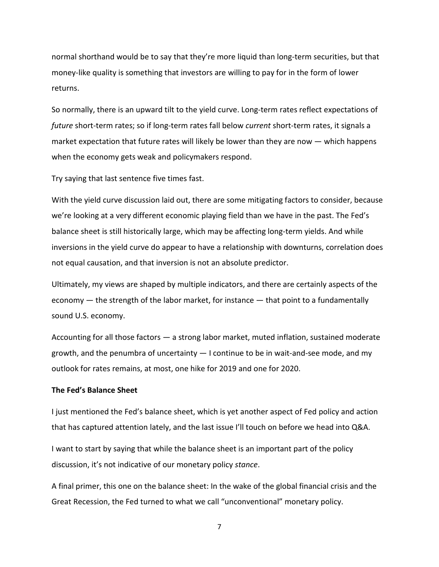normal shorthand would be to say that they're more liquid than long-term securities, but that money-like quality is something that investors are willing to pay for in the form of lower returns.

So normally, there is an upward tilt to the yield curve. Long-term rates reflect expectations of *future* short-term rates; so if long-term rates fall below *current* short-term rates, it signals a market expectation that future rates will likely be lower than they are now — which happens when the economy gets weak and policymakers respond.

Try saying that last sentence five times fast.

With the yield curve discussion laid out, there are some mitigating factors to consider, because we're looking at a very different economic playing field than we have in the past. The Fed's balance sheet is still historically large, which may be affecting long-term yields. And while inversions in the yield curve do appear to have a relationship with downturns, correlation does not equal causation, and that inversion is not an absolute predictor.

Ultimately, my views are shaped by multiple indicators, and there are certainly aspects of the economy — the strength of the labor market, for instance — that point to a fundamentally sound U.S. economy.

Accounting for all those factors — a strong labor market, muted inflation, sustained moderate growth, and the penumbra of uncertainty — I continue to be in wait-and-see mode, and my outlook for rates remains, at most, one hike for 2019 and one for 2020.

## **The Fed's Balance Sheet**

I just mentioned the Fed's balance sheet, which is yet another aspect of Fed policy and action that has captured attention lately, and the last issue I'll touch on before we head into Q&A.

I want to start by saying that while the balance sheet is an important part of the policy discussion, it's not indicative of our monetary policy *stance*.

A final primer, this one on the balance sheet: In the wake of the global financial crisis and the Great Recession, the Fed turned to what we call "unconventional" monetary policy.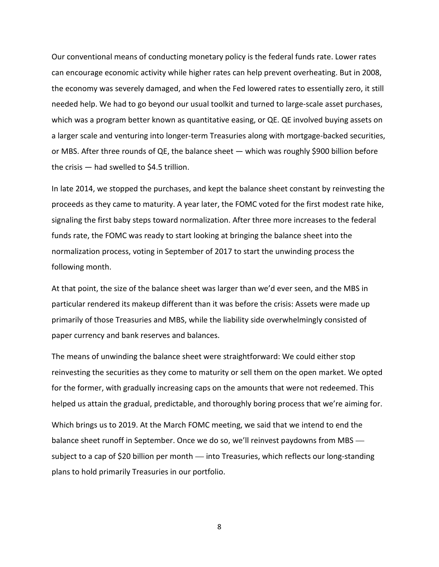Our conventional means of conducting monetary policy is the federal funds rate. Lower rates can encourage economic activity while higher rates can help prevent overheating. But in 2008, the economy was severely damaged, and when the Fed lowered rates to essentially zero, it still needed help. We had to go beyond our usual toolkit and turned to large-scale asset purchases, which was a program better known as quantitative easing, or QE. QE involved buying assets on a larger scale and venturing into longer-term Treasuries along with mortgage-backed securities, or MBS. After three rounds of QE, the balance sheet — which was roughly \$900 billion before the crisis — had swelled to \$4.5 trillion.

In late 2014, we stopped the purchases, and kept the balance sheet constant by reinvesting the proceeds as they came to maturity. A year later, the FOMC voted for the first modest rate hike, signaling the first baby steps toward normalization. After three more increases to the federal funds rate, the FOMC was ready to start looking at bringing the balance sheet into the normalization process, voting in September of 2017 to start the unwinding process the following month.

At that point, the size of the balance sheet was larger than we'd ever seen, and the MBS in particular rendered its makeup different than it was before the crisis: Assets were made up primarily of those Treasuries and MBS, while the liability side overwhelmingly consisted of paper currency and bank reserves and balances.

The means of unwinding the balance sheet were straightforward: We could either stop reinvesting the securities as they come to maturity or sell them on the open market. We opted for the former, with gradually increasing caps on the amounts that were not redeemed. This helped us attain the gradual, predictable, and thoroughly boring process that we're aiming for.

Which brings us to 2019. At the March FOMC meeting, we said that we intend to end the balance sheet runoff in September. Once we do so, we'll reinvest paydowns from MBS subject to a cap of \$20 billion per month — into Treasuries, which reflects our long-standing plans to hold primarily Treasuries in our portfolio.